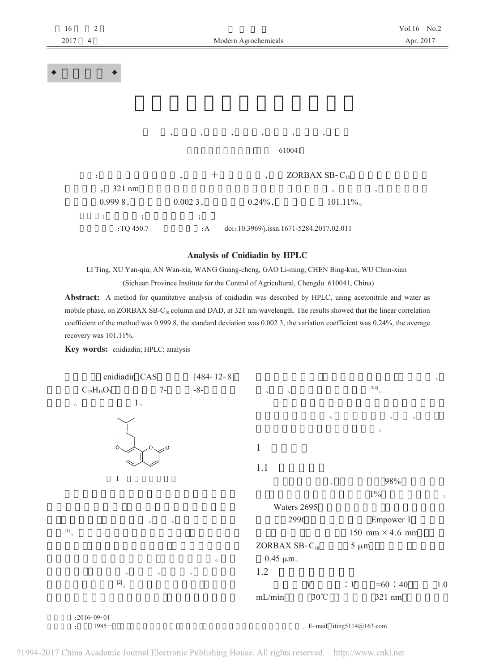| 16<br>2017 | $\sqrt{2}$<br>$\overline{4}$ |                                                      | Modern Agrochemicals                                 |                                           | Vol.16 No.2<br>Apr. 2017 |
|------------|------------------------------|------------------------------------------------------|------------------------------------------------------|-------------------------------------------|--------------------------|
|            |                              |                                                      |                                                      |                                           |                          |
|            |                              |                                                      |                                                      |                                           |                          |
|            |                              |                                                      |                                                      |                                           |                          |
|            |                              | $\overline{\phantom{a}}$<br>$\overline{\phantom{a}}$ | $\overline{\phantom{a}}$<br>$\overline{\phantom{a}}$ | ,<br>$^\circ$                             |                          |
|            |                              |                                                      |                                                      | 610041                                    |                          |
|            | ÷                            | $^{+}$<br>$\overline{\phantom{a}}$                   | $\overline{\phantom{a}}$                             | ZORBAX SB-C <sub>18</sub>                 |                          |
|            | 321 nm<br>$\overline{ }$ ,   |                                                      |                                                      | $\circ$                                   | $\,$                     |
|            | 0.9998,                      | 0.0023,                                              | $0.24\%$ ,                                           | $101.11\%$                                |                          |
|            | ÷<br>$\cdot$<br>:TQ 450.7    | $\ddot{\phantom{0}},$<br>: A                         |                                                      | doi: 10.3969/j.issn.1671-5284.2017.02.011 |                          |

## Analysis of Cnidiadin by HPLC

LI Ting, XU Yan-qiu, AN Wan-xia, WANG Guang-cheng, GAO Li-ming, CHEN Bing-kun, WU Chun-xian (Sichuan Province Institute for the Control of Agricultural, Chengdu 610041, China)

Abstract: A method for quantitative analysis of cnidiadin was described by HPLC, using acetonitrile and water as mobile phase, on ZORBAX SB-C<sub>18</sub> column and DAD, at 321 nm wavelength. The results showed that the linear correlation coefficient of the method was 0.999 8, the standard deviation was 0.002 3, the variation coefficient was 0.24%, the average recovery was 101.11%.

Key words: cnidiadin; HPLC; analysis

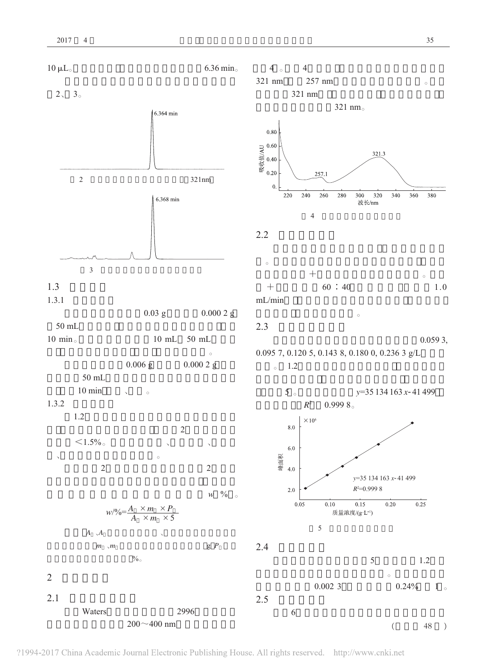$2.1$ 

Waters





 $0.0023$ 

 $0.24%$ 

 $\overline{(\ }$ 

 $1\,$   $_\circ$ 

 $\sqrt{48}$  $\big)$ 

2996

 $200 - 400$  nm

2.5

6